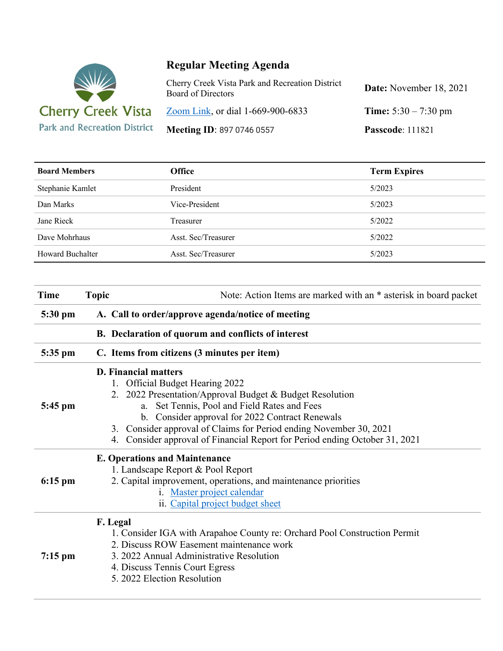

## **Regular Meeting Agenda**

| Cherry Creek Vista Park and Recreation District<br><b>Board of Directors</b> | Date: November 18, 2021       |
|------------------------------------------------------------------------------|-------------------------------|
| Zoom Link, or dial 1-669-900-6833                                            | <b>Time:</b> $5:30 - 7:30$ pm |
| <b>Meeting ID: 897 0746 0557</b>                                             | <b>Passcode: 111821</b>       |

| <b>Board Members</b>    | <b>Office</b>       | <b>Term Expires</b> |
|-------------------------|---------------------|---------------------|
| Stephanie Kamlet        | President           | 5/2023              |
| Dan Marks               | Vice-President      | 5/2023              |
| Jane Rieck              | Treasurer           | 5/2022              |
| Dave Mohrhaus           | Asst. Sec/Treasurer | 5/2022              |
| <b>Howard Buchalter</b> | Asst. Sec/Treasurer | 5/2023              |

| <b>Time</b> | <b>Topic</b> | Note: Action Items are marked with an * asterisk in board packet                                                                                                                                                                                                                                                                                                                         |
|-------------|--------------|------------------------------------------------------------------------------------------------------------------------------------------------------------------------------------------------------------------------------------------------------------------------------------------------------------------------------------------------------------------------------------------|
| 5:30 pm     |              | A. Call to order/approve agenda/notice of meeting                                                                                                                                                                                                                                                                                                                                        |
|             |              | B. Declaration of quorum and conflicts of interest                                                                                                                                                                                                                                                                                                                                       |
| 5:35 pm     |              | C. Items from citizens (3 minutes per item)                                                                                                                                                                                                                                                                                                                                              |
| $5:45$ pm   |              | <b>D. Financial matters</b><br>1. Official Budget Hearing 2022<br>2. 2022 Presentation/Approval Budget & Budget Resolution<br>Set Tennis, Pool and Field Rates and Fees<br>a.<br>b. Consider approval for 2022 Contract Renewals<br>3. Consider approval of Claims for Period ending November 30, 2021<br>Consider approval of Financial Report for Period ending October 31, 2021<br>4. |
| $6:15$ pm   |              | <b>E. Operations and Maintenance</b><br>1. Landscape Report & Pool Report<br>2. Capital improvement, operations, and maintenance priorities<br>i. Master project calendar<br>ii. Capital project budget sheet                                                                                                                                                                            |
| $7:15$ pm   | F. Legal     | 1. Consider IGA with Arapahoe County re: Orchard Pool Construction Permit<br>2. Discuss ROW Easement maintenance work<br>3. 2022 Annual Administrative Resolution<br>4. Discuss Tennis Court Egress<br>5. 2022 Election Resolution                                                                                                                                                       |